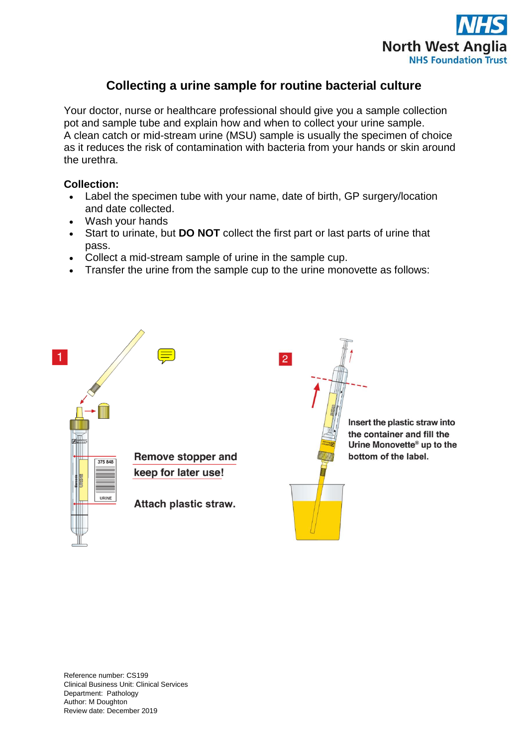

## **Collecting a urine sample for routine bacterial culture**

Your doctor, nurse or healthcare professional should give you a sample collection pot and sample tube and explain how and when to collect your urine sample. A clean catch or mid-stream urine (MSU) sample is usually the specimen of choice as it reduces the risk of contamination with bacteria from your hands or skin around the urethra.

## **Collection:**

- Label the specimen tube with your name, date of birth, GP surgery/location and date collected.
- Wash your hands
- Start to urinate, but **DO NOT** collect the first part or last parts of urine that pass.
- Collect a mid-stream sample of urine in the sample cup.
- Transfer the urine from the sample cup to the urine monovette as follows: